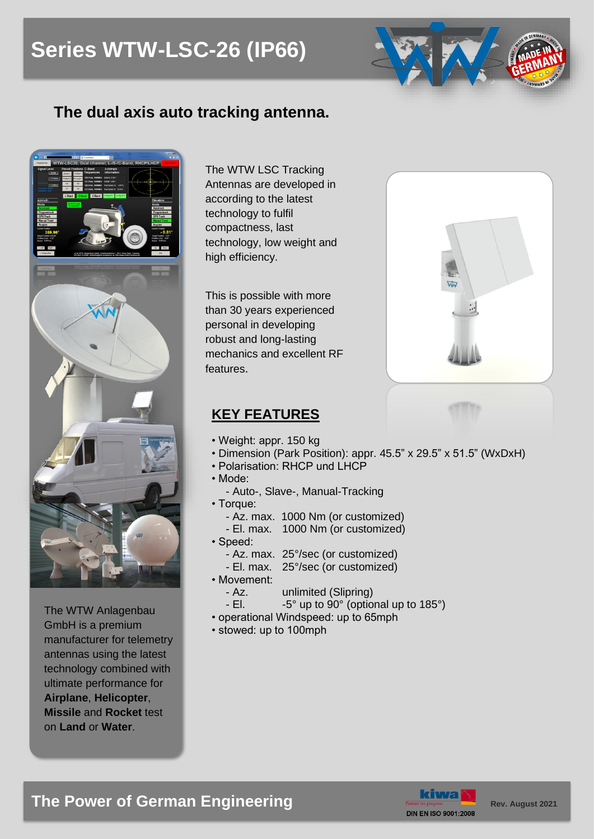# **Series WTW-LSC-26 (IP66)**



## **The dual axis auto tracking antenna.**



The WTW Anlagenbau GmbH is a premium manufacturer for telemetry antennas using the latest technology combined with ultimate performance for **Airplane**, **Helicopter**, **Missile** and **Rocket** test on **Land** or **Water**.

The WTW LSC Tracking Antennas are developed in according to the latest technology to fulfil compactness, last technology, low weight and high efficiency.

This is possible with more than 30 years experienced personal in developing robust and long-lasting mechanics and excellent RF features.

### **KEY FEATURES**

- 
- Weight: appr. 150 kg
- Dimension (Park Position): appr. 45.5" x 29.5" x 51.5" (WxDxH)
- Polarisation: RHCP und LHCP
- Mode:
- Auto-, Slave-, Manual-Tracking
- Torque:
	- Az. max. 1000 Nm (or customized)
	- El. max. 1000 Nm (or customized)
- Speed:
	- Az. max. 25°/sec (or customized)
	- El. max. 25°/sec (or customized)
- Movement:
	- Az. unlimited (Slipring)
	- El.  $-5^\circ$  up to 90 $^\circ$  (optional up to 185 $^\circ$ )
- operational Windspeed: up to 65mph
- stowed: up to 100mph



# **The Power of German Engineering <b>Rev. August** 2021